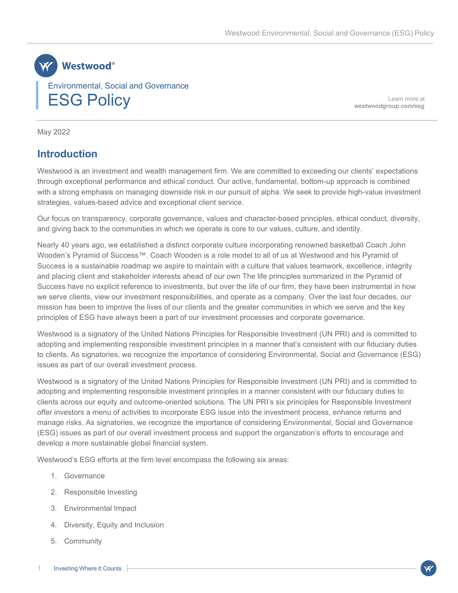

Learn more at **[westwoodgroup.com/esg](https://westwoodgroup.com/esg/)**

May 2022

## **Introduction**

Westwood is an investment and wealth management firm. We are committed to exceeding our clients' expectations through exceptional performance and ethical conduct. Our active, fundamental, bottom-up approach is combined with a strong emphasis on managing downside risk in our pursuit of alpha. We seek to provide high-value investment strategies, values-based advice and exceptional client service.

Our focus on transparency, corporate governance, values and character-based principles, ethical conduct, diversity, and giving back to the communities in which we operate is core to our values, culture, and identity.

Nearly 40 years ago, we established a distinct corporate culture incorporating renowned basketball Coach John Wooden's Pyramid of Success™. Coach Wooden is a role model to all of us at Westwood and his Pyramid of Success is a sustainable roadmap we aspire to maintain with a culture that values teamwork, excellence, integrity and placing client and stakeholder interests ahead of our own The life principles summarized in the Pyramid of Success have no explicit reference to investments, but over the life of our firm, they have been instrumental in how we serve clients, view our investment responsibilities, and operate as a company. Over the last four decades, our mission has been to improve the lives of our clients and the greater communities in which we serve and the key principles of ESG have always been a part of our investment processes and corporate governance.

Westwood is a signatory of the United Nations Principles for Responsible Investment (UN PRI) and is committed to adopting and implementing responsible investment principles in a manner that's consistent with our fiduciary duties to clients. As signatories, we recognize the importance of considering Environmental, Social and Governance (ESG) issues as part of our overall investment process.

Westwood is a signatory of the United Nations Principles for Responsible Investment (UN PRI) and is committed to adopting and implementing responsible investment principles in a manner consistent with our fiduciary duties to clients across our equity and outcome-oriented solutions. The UN PRI's six principles for Responsible Investment offer investors a menu of activities to incorporate ESG issue into the investment process, enhance returns and manage risks. As signatories, we recognize the importance of considering Environmental, Social and Governance (ESG) issues as part of our overall investment process and support the organization's efforts to encourage and develop a more sustainable global financial system.

Westwood's ESG efforts at the firm level encompass the following six areas:

- 1. Governance
- 2. Responsible Investing
- 3. Environmental Impact
- 4. Diversity, Equity and Inclusion
- 5. Community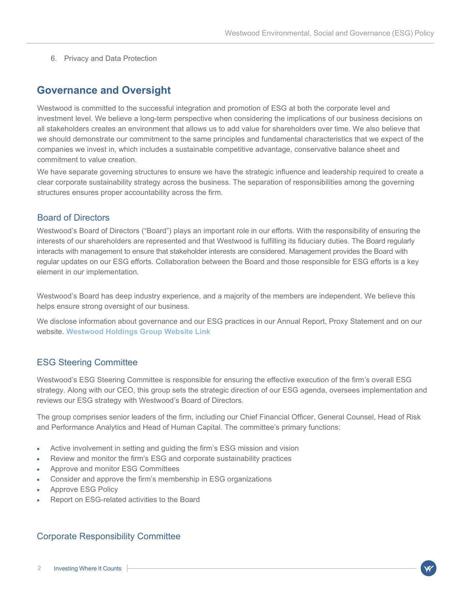6. Privacy and Data Protection

## **Governance and Oversight**

Westwood is committed to the successful integration and promotion of ESG at both the corporate level and investment level. We believe a long-term perspective when considering the implications of our business decisions on all stakeholders creates an environment that allows us to add value for shareholders over time. We also believe that we should demonstrate our commitment to the same principles and fundamental characteristics that we expect of the companies we invest in, which includes a sustainable competitive advantage, conservative balance sheet and commitment to value creation.

We have separate governing structures to ensure we have the strategic influence and leadership required to create a clear corporate sustainability strategy across the business. The separation of responsibilities among the governing structures ensures proper accountability across the firm.

### Board of Directors

Westwood's Board of Directors ("Board") plays an important role in our efforts. With the responsibility of ensuring the interests of our shareholders are represented and that Westwood is fulfilling its fiduciary duties. The Board regularly interacts with management to ensure that stakeholder interests are considered. Management provides the Board with regular updates on our ESG efforts. Collaboration between the Board and those responsible for ESG efforts is a key element in our implementation.

Westwood's Board has deep industry experience, and a majority of the members are independent. We believe this helps ensure strong oversight of our business.

We disclose information about governance and our ESG practices in our Annual Report, Proxy Statement and on our website. **[Westwood Holdings Group Website Link](https://westwoodgroup.com/)**

## ESG Steering Committee

Westwood's ESG Steering Committee is responsible for ensuring the effective execution of the firm's overall ESG strategy. Along with our CEO, this group sets the strategic direction of our ESG agenda, oversees implementation and reviews our ESG strategy with Westwood's Board of Directors.

The group comprises senior leaders of the firm, including our Chief Financial Officer, General Counsel, Head of Risk and Performance Analytics and Head of Human Capital. The committee's primary functions:

- Active involvement in setting and guiding the firm's ESG mission and vision
- Review and monitor the firm's ESG and corporate sustainability practices
- Approve and monitor ESG Committees
- Consider and approve the firm's membership in ESG organizations
- Approve ESG Policy
- Report on ESG-related activities to the Board

### Corporate Responsibility Committee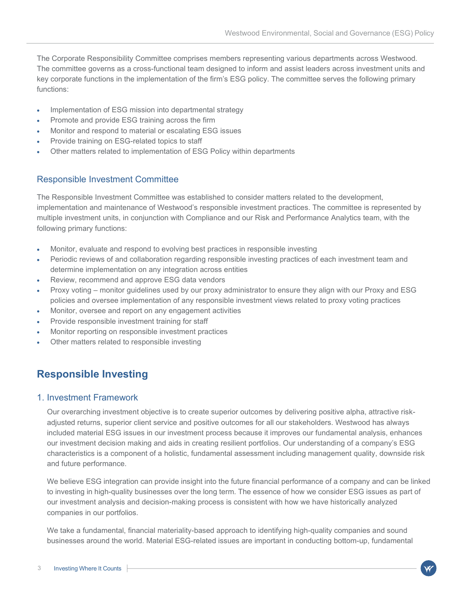The Corporate Responsibility Committee comprises members representing various departments across Westwood. The committee governs as a cross-functional team designed to inform and assist leaders across investment units and key corporate functions in the implementation of the firm's ESG policy. The committee serves the following primary functions:

- Implementation of ESG mission into departmental strategy
- Promote and provide ESG training across the firm
- Monitor and respond to material or escalating ESG issues
- Provide training on ESG-related topics to staff
- Other matters related to implementation of ESG Policy within departments

## Responsible Investment Committee

The Responsible Investment Committee was established to consider matters related to the development, implementation and maintenance of Westwood's responsible investment practices. The committee is represented by multiple investment units, in conjunction with Compliance and our Risk and Performance Analytics team, with the following primary functions:

- Monitor, evaluate and respond to evolving best practices in responsible investing
- Periodic reviews of and collaboration regarding responsible investing practices of each investment team and determine implementation on any integration across entities
- Review, recommend and approve ESG data vendors
- Proxy voting monitor guidelines used by our proxy administrator to ensure they align with our Proxy and ESG policies and oversee implementation of any responsible investment views related to proxy voting practices
- Monitor, oversee and report on any engagement activities
- Provide responsible investment training for staff
- Monitor reporting on responsible investment practices
- Other matters related to responsible investing

# **Responsible Investing**

### 1. Investment Framework

Our overarching investment objective is to create superior outcomes by delivering positive alpha, attractive riskadjusted returns, superior client service and positive outcomes for all our stakeholders. Westwood has always included material ESG issues in our investment process because it improves our fundamental analysis, enhances our investment decision making and aids in creating resilient portfolios. Our understanding of a company's ESG characteristics is a component of a holistic, fundamental assessment including management quality, downside risk and future performance.

We believe ESG integration can provide insight into the future financial performance of a company and can be linked to investing in high-quality businesses over the long term. The essence of how we consider ESG issues as part of our investment analysis and decision-making process is consistent with how we have historically analyzed companies in our portfolios.

We take a fundamental, financial materiality-based approach to identifying high-quality companies and sound businesses around the world. Material ESG-related issues are important in conducting bottom-up, fundamental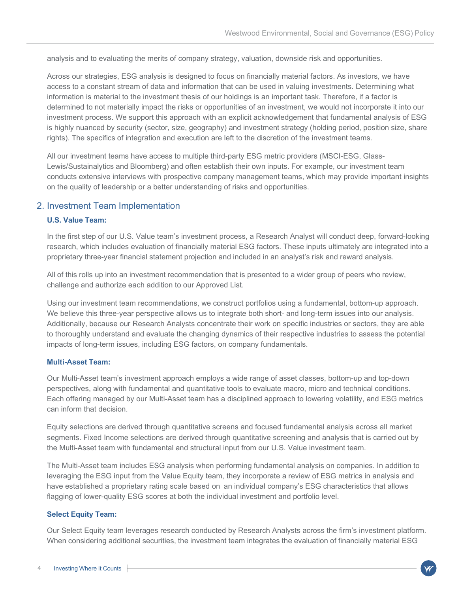analysis and to evaluating the merits of company strategy, valuation, downside risk and opportunities.

Across our strategies, ESG analysis is designed to focus on financially material factors. As investors, we have access to a constant stream of data and information that can be used in valuing investments. Determining what information is material to the investment thesis of our holdings is an important task. Therefore, if a factor is determined to not materially impact the risks or opportunities of an investment, we would not incorporate it into our investment process. We support this approach with an explicit acknowledgement that fundamental analysis of ESG is highly nuanced by security (sector, size, geography) and investment strategy (holding period, position size, share rights). The specifics of integration and execution are left to the discretion of the investment teams.

All our investment teams have access to multiple third-party ESG metric providers (MSCI-ESG, Glass-Lewis/Sustainalytics and Bloomberg) and often establish their own inputs. For example, our investment team conducts extensive interviews with prospective company management teams, which may provide important insights on the quality of leadership or a better understanding of risks and opportunities.

## 2. Investment Team Implementation

#### **U.S. Value Team:**

In the first step of our U.S. Value team's investment process, a Research Analyst will conduct deep, forward-looking research, which includes evaluation of financially material ESG factors. These inputs ultimately are integrated into a proprietary three-year financial statement projection and included in an analyst's risk and reward analysis.

All of this rolls up into an investment recommendation that is presented to a wider group of peers who review, challenge and authorize each addition to our Approved List.

Using our investment team recommendations, we construct portfolios using a fundamental, bottom-up approach. We believe this three-year perspective allows us to integrate both short- and long-term issues into our analysis. Additionally, because our Research Analysts concentrate their work on specific industries or sectors, they are able to thoroughly understand and evaluate the changing dynamics of their respective industries to assess the potential impacts of long-term issues, including ESG factors, on company fundamentals.

#### **Multi-Asset Team:**

Our Multi-Asset team's investment approach employs a wide range of asset classes, bottom-up and top-down perspectives, along with fundamental and quantitative tools to evaluate macro, micro and technical conditions. Each offering managed by our Multi-Asset team has a disciplined approach to lowering volatility, and ESG metrics can inform that decision.

Equity selections are derived through quantitative screens and focused fundamental analysis across all market segments. Fixed Income selections are derived through quantitative screening and analysis that is carried out by the Multi-Asset team with fundamental and structural input from our U.S. Value investment team.

The Multi-Asset team includes ESG analysis when performing fundamental analysis on companies. In addition to leveraging the ESG input from the Value Equity team, they incorporate a review of ESG metrics in analysis and have established a proprietary rating scale based on an individual company's ESG characteristics that allows flagging of lower-quality ESG scores at both the individual investment and portfolio level.

#### **Select Equity Team:**

Our Select Equity team leverages research conducted by Research Analysts across the firm's investment platform. When considering additional securities, the investment team integrates the evaluation of financially material ESG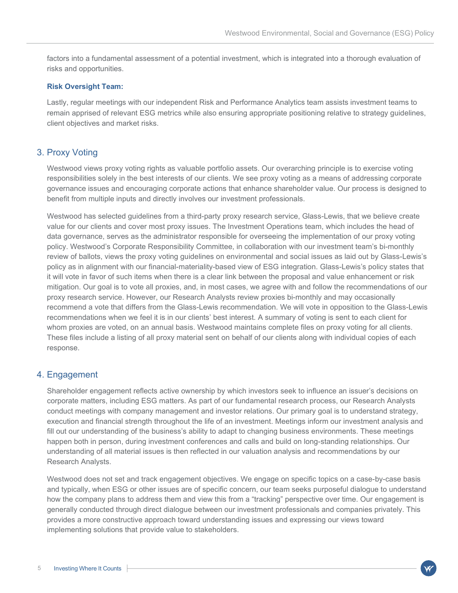factors into a fundamental assessment of a potential investment, which is integrated into a thorough evaluation of risks and opportunities.

#### **Risk Oversight Team:**

Lastly, regular meetings with our independent Risk and Performance Analytics team assists investment teams to remain apprised of relevant ESG metrics while also ensuring appropriate positioning relative to strategy guidelines, client objectives and market risks.

### 3. Proxy Voting

Westwood views proxy voting rights as valuable portfolio assets. Our overarching principle is to exercise voting responsibilities solely in the best interests of our clients. We see proxy voting as a means of addressing corporate governance issues and encouraging corporate actions that enhance shareholder value. Our process is designed to benefit from multiple inputs and directly involves our investment professionals.

Westwood has selected guidelines from a third-party proxy research service, Glass-Lewis, that we believe create value for our clients and cover most proxy issues. The Investment Operations team, which includes the head of data governance, serves as the administrator responsible for overseeing the implementation of our proxy voting policy. Westwood's Corporate Responsibility Committee, in collaboration with our investment team's bi-monthly review of ballots, views the proxy voting guidelines on environmental and social issues as laid out by Glass-Lewis's policy as in alignment with our financial-materiality-based view of ESG integration. Glass-Lewis's policy states that it will vote in favor of such items when there is a clear link between the proposal and value enhancement or risk mitigation. Our goal is to vote all proxies, and, in most cases, we agree with and follow the recommendations of our proxy research service. However, our Research Analysts review proxies bi-monthly and may occasionally recommend a vote that differs from the Glass-Lewis recommendation. We will vote in opposition to the Glass-Lewis recommendations when we feel it is in our clients' best interest. A summary of voting is sent to each client for whom proxies are voted, on an annual basis. Westwood maintains complete files on proxy voting for all clients. These files include a listing of all proxy material sent on behalf of our clients along with individual copies of each response.

### 4. Engagement

Shareholder engagement reflects active ownership by which investors seek to influence an issuer's decisions on corporate matters, including ESG matters. As part of our fundamental research process, our Research Analysts conduct meetings with company management and investor relations. Our primary goal is to understand strategy, execution and financial strength throughout the life of an investment. Meetings inform our investment analysis and fill out our understanding of the business's ability to adapt to changing business environments. These meetings happen both in person, during investment conferences and calls and build on long-standing relationships. Our understanding of all material issues is then reflected in our valuation analysis and recommendations by our Research Analysts.

Westwood does not set and track engagement objectives. We engage on specific topics on a case-by-case basis and typically, when ESG or other issues are of specific concern, our team seeks purposeful dialogue to understand how the company plans to address them and view this from a "tracking" perspective over time. Our engagement is generally conducted through direct dialogue between our investment professionals and companies privately. This provides a more constructive approach toward understanding issues and expressing our views toward implementing solutions that provide value to stakeholders.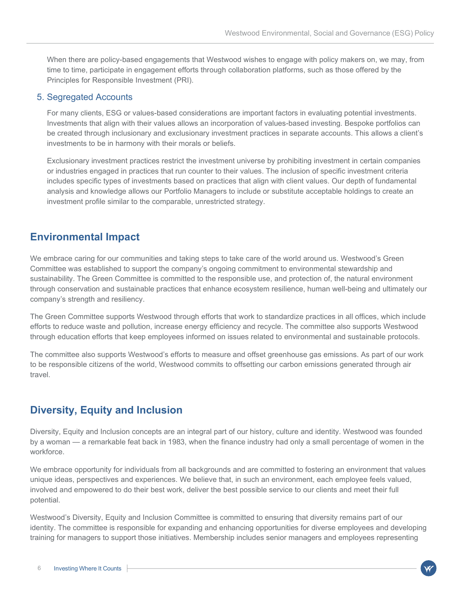When there are policy-based engagements that Westwood wishes to engage with policy makers on, we may, from time to time, participate in engagement efforts through collaboration platforms, such as those offered by the Principles for Responsible Investment (PRI).

### 5. Segregated Accounts

For many clients, ESG or values-based considerations are important factors in evaluating potential investments. Investments that align with their values allows an incorporation of values-based investing. Bespoke portfolios can be created through inclusionary and exclusionary investment practices in separate accounts. This allows a client's investments to be in harmony with their morals or beliefs.

Exclusionary investment practices restrict the investment universe by prohibiting investment in certain companies or industries engaged in practices that run counter to their values. The inclusion of specific investment criteria includes specific types of investments based on practices that align with client values. Our depth of fundamental analysis and knowledge allows our Portfolio Managers to include or substitute acceptable holdings to create an investment profile similar to the comparable, unrestricted strategy.

## **Environmental Impact**

We embrace caring for our communities and taking steps to take care of the world around us. Westwood's Green Committee was established to support the company's ongoing commitment to environmental stewardship and sustainability. The Green Committee is committed to the responsible use, and protection of, the natural environment through conservation and sustainable practices that enhance ecosystem resilience, human well-being and ultimately our company's strength and resiliency.

The Green Committee supports Westwood through efforts that work to standardize practices in all offices, which include efforts to reduce waste and pollution, increase energy efficiency and recycle. The committee also supports Westwood through education efforts that keep employees informed on issues related to environmental and sustainable protocols.

The committee also supports Westwood's efforts to measure and offset greenhouse gas emissions. As part of our work to be responsible citizens of the world, Westwood commits to offsetting our carbon emissions generated through air travel.

## **Diversity, Equity and Inclusion**

Diversity, Equity and Inclusion concepts are an integral part of our history, culture and identity. Westwood was founded by a woman — a remarkable feat back in 1983, when the finance industry had only a small percentage of women in the workforce.

We embrace opportunity for individuals from all backgrounds and are committed to fostering an environment that values unique ideas, perspectives and experiences. We believe that, in such an environment, each employee feels valued, involved and empowered to do their best work, deliver the best possible service to our clients and meet their full potential.

Westwood's Diversity, Equity and Inclusion Committee is committed to ensuring that diversity remains part of our identity. The committee is responsible for expanding and enhancing opportunities for diverse employees and developing training for managers to support those initiatives. Membership includes senior managers and employees representing